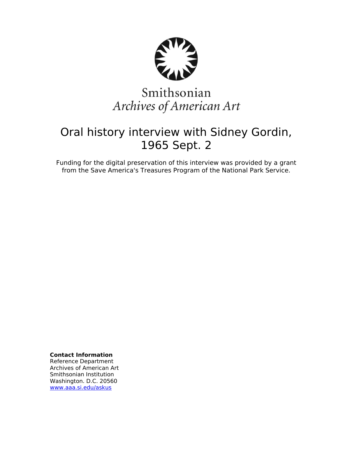

# Smithsonian Archives of American Art

## Oral history interview with Sidney Gordin, 1965 Sept. 2

Funding for the digital preservation of this interview was provided by a grant from the Save America's Treasures Program of the National Park Service.

**Contact Information**

Reference Department Archives of American Art Smithsonian Institution Washington. D.C. 20560 [www.aaa.si.edu/askus](http://www.aaa.si.edu/askus)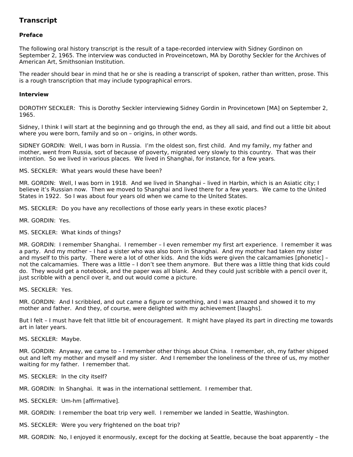### **Transcript**

#### **Preface**

The following oral history transcript is the result of a tape-recorded interview with Sidney Gordinon on September 2, 1965. The interview was conducted in Proveincetown, MA by Dorothy Seckler for the Archives of American Art, Smithsonian Institution.

The reader should bear in mind that he or she is reading a transcript of spoken, rather than written, prose. This is a rough transcription that may include typographical errors.

#### **Interview**

DOROTHY SECKLER: This is Dorothy Seckler interviewing Sidney Gordin in Provincetown [MA] on September 2, 1965.

Sidney, I think I will start at the beginning and go through the end, as they all said, and find out a little bit about where you were born, family and so on – origins, in other words.

SIDNEY GORDIN: Well, I was born in Russia. I'm the oldest son, first child. And my family, my father and mother, went from Russia, sort of because of poverty, migrated very slowly to this country. That was their intention. So we lived in various places. We lived in Shanghai, for instance, for a few years.

MS. SECKLER: What years would these have been?

MR. GORDIN: Well, I was born in 1918. And we lived in Shanghai – lived in Harbin, which is an Asiatic city; I believe it's Russian now. Then we moved to Shanghai and lived there for a few years. We came to the United States in 1922. So I was about four years old when we came to the United States.

MS. SECKLER: Do you have any recollections of those early years in these exotic places?

MR. GORDIN: Yes.

MS. SECKLER: What kinds of things?

MR. GORDIN: I remember Shanghai. I remember – I even remember my first art experience. I remember it was a party. And my mother – I had a sister who was also born in Shanghai. And my mother had taken my sister and myself to this party. There were a lot of other kids. And the kids were given the calcamamies [phonetic] – not the calcamamies. There was a little – I don't see them anymore. But there was a little thing that kids could do. They would get a notebook, and the paper was all blank. And they could just scribble with a pencil over it, just scribble with a pencil over it, and out would come a picture.

MS. SECKLER: Yes.

MR. GORDIN: And I scribbled, and out came a figure or something, and I was amazed and showed it to my mother and father. And they, of course, were delighted with my achievement [laughs].

But I felt – I must have felt that little bit of encouragement. It might have played its part in directing me towards art in later years.

MS. SECKLER: Maybe.

MR. GORDIN: Anyway, we came to – I remember other things about China. I remember, oh, my father shipped out and left my mother and myself and my sister. And I remember the loneliness of the three of us, my mother waiting for my father. I remember that.

MS. SECKLER: In the city itself?

MR. GORDIN: In Shanghai. It was in the international settlement. I remember that.

MS. SECKLER: Um-hm [affirmative].

MR. GORDIN: I remember the boat trip very well. I remember we landed in Seattle, Washington.

MS. SECKLER: Were you very frightened on the boat trip?

MR. GORDIN: No, I enjoyed it enormously, except for the docking at Seattle, because the boat apparently – the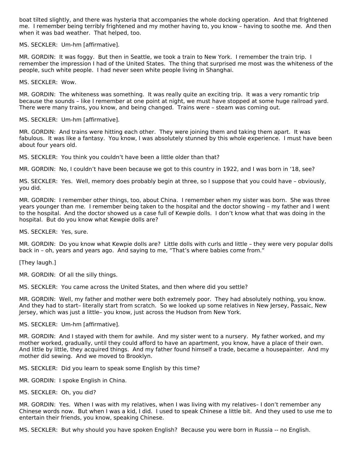boat tilted slightly, and there was hysteria that accompanies the whole docking operation. And that frightened me. I remember being terribly frightened and my mother having to, you know – having to soothe me. And then when it was bad weather. That helped, too.

MS. SECKLER: Um-hm [affirmative].

MR. GORDIN: It was foggy. But then in Seattle, we took a train to New York. I remember the train trip. I remember the impression I had of the United States. The thing that surprised me most was the whiteness of the people, such white people. I had never seen white people living in Shanghai.

MS. SECKLER: Wow.

MR. GORDIN: The whiteness was something. It was really quite an exciting trip. It was a very romantic trip because the sounds – like I remember at one point at night, we must have stopped at some huge railroad yard. There were many trains, you know, and being changed. Trains were – steam was coming out.

MS. SECKLER: Um-hm [affirmative].

MR. GORDIN: And trains were hitting each other. They were joining them and taking them apart. It was fabulous. It was like a fantasy. You know, I was absolutely stunned by this whole experience. I must have been about four years old.

MS. SECKLER: You think you couldn't have been a little older than that?

MR. GORDIN: No, I couldn't have been because we got to this country in 1922, and I was born in '18, see?

MS. SECKLER: Yes. Well, memory does probably begin at three, so I suppose that you could have – obviously, you did.

MR. GORDIN: I remember other things, too, about China. I remember when my sister was born. She was three years younger than me. I remember being taken to the hospital and the doctor showing – my father and I went to the hospital. And the doctor showed us a case full of Kewpie dolls. I don't know what that was doing in the hospital. But do you know what Kewpie dolls are?

MS. SECKLER: Yes, sure.

MR. GORDIN: Do you know what Kewpie dolls are? Little dolls with curls and little – they were very popular dolls back in – oh, years and years ago. And saying to me, "That's where babies come from."

[They laugh.]

MR. GORDIN: Of all the silly things.

MS. SECKLER: You came across the United States, and then where did you settle?

MR. GORDIN: Well, my father and mother were both extremely poor. They had absolutely nothing, you know. And they had to start– literally start from scratch. So we looked up some relatives in New Jersey, Passaic, New Jersey, which was just a little– you know, just across the Hudson from New York.

MS. SECKLER: Um-hm [affirmative].

MR. GORDIN: And I stayed with them for awhile. And my sister went to a nursery. My father worked, and my mother worked, gradually, until they could afford to have an apartment, you know, have a place of their own. And little by little, they acquired things. And my father found himself a trade, became a housepainter. And my mother did sewing. And we moved to Brooklyn.

MS. SECKLER: Did you learn to speak some English by this time?

MR. GORDIN: I spoke English in China.

MS. SECKLER: Oh, you did?

MR. GORDIN: Yes. When I was with my relatives, when I was living with my relatives– I don't remember any Chinese words now. But when I was a kid, I did. I used to speak Chinese a little bit. And they used to use me to entertain their friends, you know, speaking Chinese.

MS. SECKLER: But why should you have spoken English? Because you were born in Russia -- no English.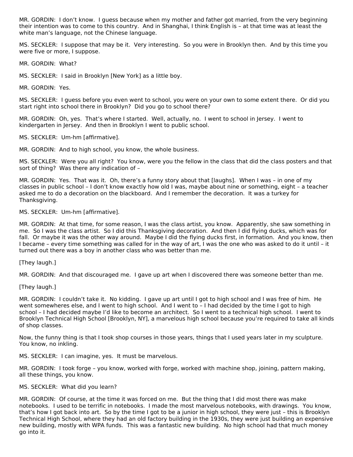MR. GORDIN: I don't know. I guess because when my mother and father got married, from the very beginning their intention was to come to this country. And in Shanghai, I think English is – at that time was at least the white man's language, not the Chinese language.

MS. SECKLER: I suppose that may be it. Very interesting. So you were in Brooklyn then. And by this time you were five or more, I suppose.

MR. GORDIN: What?

MS. SECKLER: I said in Brooklyn [New York] as a little boy.

MR. GORDIN: Yes.

MS. SECKLER: I guess before you even went to school, you were on your own to some extent there. Or did you start right into school there in Brooklyn? Did you go to school there?

MR. GORDIN: Oh, yes. That's where I started. Well, actually, no. I went to school in Jersey. I went to kindergarten in Jersey. And then in Brooklyn I went to public school.

MS. SECKLER: Um-hm [affirmative].

MR. GORDIN: And to high school, you know, the whole business.

MS. SECKLER: Were you all right? You know, were you the fellow in the class that did the class posters and that sort of thing? Was there any indication of –

MR. GORDIN: Yes. That was it. Oh, there's a funny story about that [laughs]. When I was – in one of my classes in public school – I don't know exactly how old I was, maybe about nine or something, eight – a teacher asked me to do a decoration on the blackboard. And I remember the decoration. It was a turkey for Thanksgiving.

MS. SECKLER: Um-hm [affirmative].

MR. GORDIN: At that time, for some reason, I was the class artist, you know. Apparently, she saw something in me. So I was the class artist. So I did this Thanksgiving decoration. And then I did flying ducks, which was for fall. Or maybe it was the other way around. Maybe I did the flying ducks first, in formation. And you know, then I became – every time something was called for in the way of art, I was the one who was asked to do it until – it turned out there was a boy in another class who was better than me.

[They laugh.]

MR. GORDIN: And that discouraged me. I gave up art when I discovered there was someone better than me.

[They laugh.]

MR. GORDIN: I couldn't take it. No kidding. I gave up art until I got to high school and I was free of him. He went somewheres else, and I went to high school. And I went to – I had decided by the time I got to high school – I had decided maybe I'd like to become an architect. So I went to a technical high school. I went to Brooklyn Technical High School [Brooklyn, NY], a marvelous high school because you're required to take all kinds of shop classes.

Now, the funny thing is that I took shop courses in those years, things that I used years later in my sculpture. You know, no inkling.

MS. SECKLER: I can imagine, yes. It must be marvelous.

MR. GORDIN: I took forge – you know, worked with forge, worked with machine shop, joining, pattern making, all these things, you know.

#### MS. SECKLER: What did you learn?

MR. GORDIN: Of course, at the time it was forced on me. But the thing that I did most there was make notebooks. I used to be terrific in notebooks. I made the most marvelous notebooks, with drawings. You know, that's how I got back into art. So by the time I got to be a junior in high school, they were just – this is Brooklyn Technical High School, where they had an old factory building in the 1930s, they were just building an expensive new building, mostly with WPA funds. This was a fantastic new building. No high school had that much money go into it.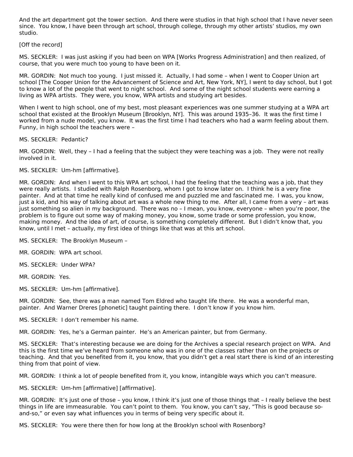And the art department got the tower section. And there were studios in that high school that I have never seen since. You know, I have been through art school, through college, through my other artists' studios, my own studio.

#### [Off the record]

MS. SECKLER: I was just asking if you had been on WPA [Works Progress Administration] and then realized, of course, that you were much too young to have been on it.

MR. GORDIN: Not much too young. I just missed it. Actually, I had some – when I went to Cooper Union art school [The Cooper Union for the Advancement of Science and Art, New York, NY], I went to day school, but I got to know a lot of the people that went to night school. And some of the night school students were earning a living as WPA artists. They were, you know, WPA artists and studying art besides.

When I went to high school, one of my best, most pleasant experiences was one summer studying at a WPA art school that existed at the Brooklyn Museum [Brooklyn, NY]. This was around 1935–36. It was the first time I worked from a nude model, you know. It was the first time I had teachers who had a warm feeling about them. Funny, in high school the teachers were –

#### MS. SECKLER: Pedantic?

MR. GORDIN: Well, they – I had a feeling that the subject they were teaching was a job. They were not really involved in it.

#### MS. SECKLER: Um-hm [affirmative].

MR. GORDIN: And when I went to this WPA art school, I had the feeling that the teaching was a job, that they were really artists. I studied with Ralph Rosenborg, whom I got to know later on. I think he is a very fine painter. And at that time he really kind of confused me and puzzled me and fascinated me. I was, you know, just a kid, and his way of talking about art was a whole new thing to me. After all, I came from a very – art was just something so alien in my background. There was no – I mean, you know, everyone – when you're poor, the problem is to figure out some way of making money, you know, some trade or some profession, you know, making money. And the idea of art, of course, is something completely different. But I didn't know that, you know, until I met – actually, my first idea of things like that was at this art school.

MS. SECKLER: The Brooklyn Museum –

MR. GORDIN: WPA art school.

MS. SECKLER: Under WPA?

MR. GORDIN: Yes.

MS. SECKLER: Um-hm [affirmative].

MR. GORDIN: See, there was a man named Tom Eldred who taught life there. He was a wonderful man, painter. And Warner Dreres [phonetic] taught painting there. I don't know if you know him.

MS. SECKLER: I don't remember his name.

MR. GORDIN: Yes, he's a German painter. He's an American painter, but from Germany.

MS. SECKLER: That's interesting because we are doing for the Archives a special research project on WPA. And this is the first time we've heard from someone who was in one of the classes rather than on the projects or teaching. And that you benefited from it, you know, that you didn't get a real start there is kind of an interesting thing from that point of view.

MR. GORDIN: I think a lot of people benefited from it, you know, intangible ways which you can't measure.

MS. SECKLER: Um-hm [affirmative] [affirmative].

MR. GORDIN: It's just one of those – you know, I think it's just one of those things that – I really believe the best things in life are immeasurable. You can't point to them. You know, you can't say, "This is good because soand-so," or even say what influences you in terms of being very specific about it.

MS. SECKLER: You were there then for how long at the Brooklyn school with Rosenborg?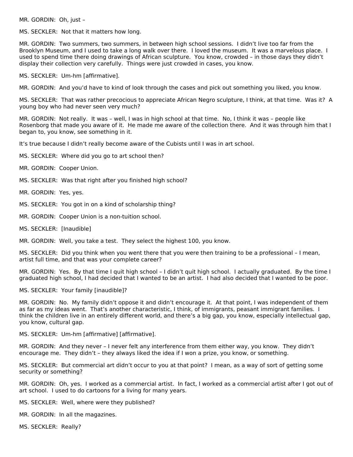MR. GORDIN: Oh, just –

MS. SECKLER: Not that it matters how long.

MR. GORDIN: Two summers, two summers, in between high school sessions. I didn't live too far from the Brooklyn Museum, and I used to take a long walk over there. I loved the museum. It was a marvelous place. I used to spend time there doing drawings of African sculpture. You know, crowded – in those days they didn't display their collection very carefully. Things were just crowded in cases, you know.

MS. SECKLER: Um-hm [affirmative].

MR. GORDIN: And you'd have to kind of look through the cases and pick out something you liked, you know.

MS. SECKLER: That was rather precocious to appreciate African Negro sculpture, I think, at that time. Was it? A young boy who had never seen very much?

MR. GORDIN: Not really. It was – well, I was in high school at that time. No, I think it was – people like Rosenborg that made you aware of it. He made me aware of the collection there. And it was through him that I began to, you know, see something in it.

It's true because I didn't really become aware of the Cubists until I was in art school.

MS. SECKLER: Where did you go to art school then?

- MR. GORDIN: Cooper Union.
- MS. SECKLER: Was that right after you finished high school?
- MR. GORDIN: Yes, yes.
- MS. SECKLER: You got in on a kind of scholarship thing?
- MR. GORDIN: Cooper Union is a non-tuition school.
- MS. SECKLER: [Inaudible]

MR. GORDIN: Well, you take a test. They select the highest 100, you know.

MS. SECKLER: Did you think when you went there that you were then training to be a professional – I mean, artist full time, and that was your complete career?

MR. GORDIN: Yes. By that time I quit high school – I didn't quit high school. I actually graduated. By the time I graduated high school, I had decided that I wanted to be an artist. I had also decided that I wanted to be poor.

MS. SECKLER: Your family [inaudible]?

MR. GORDIN: No. My family didn't oppose it and didn't encourage it. At that point, I was independent of them as far as my ideas went. That's another characteristic, I think, of immigrants, peasant immigrant families. I think the children live in an entirely different world, and there's a big gap, you know, especially intellectual gap, you know, cultural gap.

MS. SECKLER: Um-hm [affirmative] [affirmative].

MR. GORDIN: And they never – I never felt any interference from them either way, you know. They didn't encourage me. They didn't – they always liked the idea if I won a prize, you know, or something.

MS. SECKLER: But commercial art didn't occur to you at that point? I mean, as a way of sort of getting some security or something?

MR. GORDIN: Oh, yes. I worked as a commercial artist. In fact, I worked as a commercial artist after I got out of art school. I used to do cartoons for a living for many years.

MS. SECKLER: Well, where were they published?

MR. GORDIN: In all the magazines.

MS. SECKLER: Really?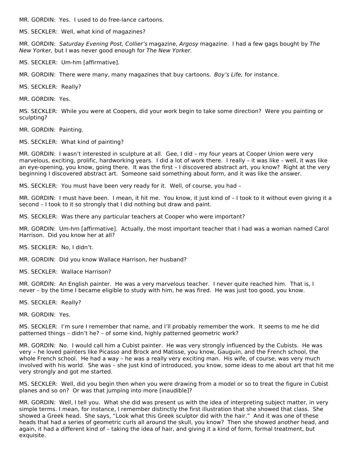MR. GORDIN: Yes. I used to do free-lance cartoons.

MS. SECKLER: Well, what kind of magazines?

MR. GORDIN: Saturday Evening Post, Collier's magazine, Argosy magazine. I had a few gags bought by The New Yorker, but I was never good enough for The New Yorker.

MS. SECKLER: Um-hm [affirmative].

MR. GORDIN: There were many, many magazines that buy cartoons. Boy's Life, for instance.

MS. SECKLER: Really?

MR. GORDIN: Yes.

MS. SECKLER: While you were at Coopers, did your work begin to take some direction? Were you painting or sculpting?

MR. GORDIN: Painting.

MS. SECKLER: What kind of painting?

MR. GORDIN: I wasn't interested in sculpture at all. Gee, I did – my four years at Cooper Union were very marvelous, exciting, prolific, hardworking years. I did a lot of work there. I really – it was like – well, it was like an eye-opening, you know, going there. It was the first – I discovered abstract art, you know? Right at the very beginning I discovered abstract art. Someone said something about form, and it was like the answer.

MS. SECKLER: You must have been very ready for it. Well, of course, you had –

MR. GORDIN: I must have been. I mean, it hit me. You know, it just kind of – I took to it without even giving it a second – I took to it so strongly that I did nothing but draw and paint.

MS. SECKLER: Was there any particular teachers at Cooper who were important?

MR. GORDIN: Um-hm [affirmative]. Actually, the most important teacher that I had was a woman named Carol Harrison. Did you know her at all?

MS. SECKLER: No, I didn't.

MR. GORDIN: Did you know Wallace Harrison, her husband?

MS. SECKLER: Wallace Harrison?

MR. GORDIN: An English painter. He was a very marvelous teacher. I never quite reached him. That is, I never – by the time I became eligible to study with him, he was fired. He was just too good, you know.

MS. SECKLER: Really?

MR. GORDIN: Yes.

MS. SECKLER: I'm sure I remember that name, and I'll probably remember the work. It seems to me he did patterned things – didn't he? – of some kind, highly patterned geometric work?

MR. GORDIN: No. I would call him a Cubist painter. He was very strongly influenced by the Cubists. He was very – he loved painters like Picasso and Brock and Matisse, you know, Gauguin, and the French school, the whole French school. He had a way – he was a really very exciting man. His wife, of course, was very much involved with his world. She was – she just kind of introduced, you know, some ideas to me about art that hit me very strongly and got me started.

MS. SECKLER: Well, did you begin then when you were drawing from a model or so to treat the figure in Cubist planes and so on? Or was that jumping into more [inaudible]?

MR. GORDIN: Well, I tell you. What she did was present us with the idea of interpreting subject matter, in very simple terms. I mean, for instance, I remember distinctly the first illustration that she showed that class. She showed a Greek head. She says, "Look what this Greek sculptor did with the hair." And it was one of these heads that had a series of geometric curls all around the skull, you know? Then she showed another head, and again, it had a different kind of – taking the idea of hair, and giving it a kind of form, formal treatment, but exquisite.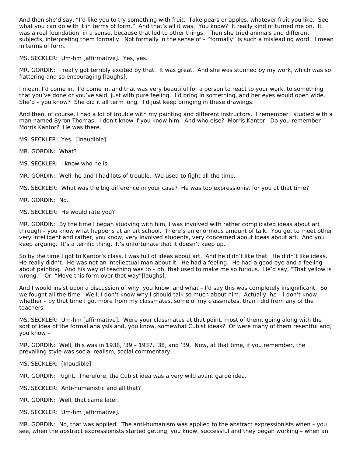And then she'd say, "I'd like you to try something with fruit. Take pears or apples, whatever fruit you like. See what you can do with it in terms of form." And that's all it was. You know? It really kind of turned me on. It was a real foundation, in a sense, because that led to other things. Then she tried animals and different subjects, interpreting them formally. Not formally in the sense of – "formally" is such a misleading word. I mean in terms of form.

MS. SECKLER: Um-hm [affirmative]. Yes, yes.

MR. GORDIN: I really got terribly excited by that. It was great. And she was stunned by my work, which was so flattering and so encouraging [laughs].

I mean, I'd come in. I'd come in, and that was very beautiful for a person to react to your work, to something that you've done or you've said, just with pure feeling. I'd bring in something, and her eyes would open wide. She'd – you know? She did it all term long. I'd just keep bringing in these drawings.

And then, of course, I had a lot of trouble with my painting and different instructors. I remember I studied with a man named Byron Thomas. I don't know if you know him. And who else? Morris Kantor. Do you remember Morris Kantor? He was there.

MS. SECKLER: Yes. [Inaudible]

MR. GORDIN: What?

MS. SECKLER: I know who he is.

MR. GORDIN: Well, he and I had lots of trouble. We used to fight all the time.

MS. SECKLER: What was the big difference in your case? He was too expressionist for you at that time?

MR. GORDIN: No.

MS. SECKLER: He would rate you?

MR. GORDIN: By the time I began studying with him, I was involved with rather complicated ideas about art through – you know what happens at an art school. There's an enormous amount of talk. You get to meet other very intelligent and rather, you know, very involved students, very concerned about ideas about art. And you keep arguing. It's a terrific thing. It's unfortunate that it doesn't keep up.

So by the time I got to Kantor's class, I was full of ideas about art. And he didn't like that. He didn't like ideas. He really didn't. He was not an intellectual man about it. He had a feeling. He had a good eye and a feeling about painting. And his way of teaching was to – oh, that used to make me so furious. He'd say, "That yellow is wrong." Or, "Move this form over that way"[laughs].

And I would insist upon a discussion of why, you know, and what – I'd say this was completely insignificant. So we fought all the time. Well, I don't know why I should talk so much about him. Actually, he – I don't know whether – by that time I got more from my classmates, some of my classmates, than I did from any of the teachers.

MS. SECKLER: Um-hm [affirmative]. Were your classmates at that point, most of them, going along with the sort of idea of the formal analysis and, you know, somewhat Cubist ideas? Or were many of them resentful and, you know –

MR. GORDIN: Well, this was in 1938, '39 – 1937, '38, and '39. Now, at that time, if you remember, the prevailing style was social realism, social commentary.

MS. SECKLER: [Inaudible]

MR. GORDIN: Right. Therefore, the Cubist idea was a very wild avant garde idea.

MS. SECKLER: Anti-humanistic and all that?

MR. GORDIN: Well, that came later.

MS. SECKLER: Um-hm [affirmative].

MR. GORDIN: No, that was applied. The anti-humanism was applied to the abstract expressionists when – you see, when the abstract expressionists started getting, you know, successful and they began working – when an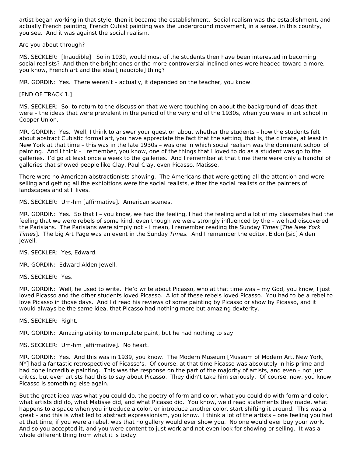artist began working in that style, then it became the establishment. Social realism was the establishment, and actually French painting, French Cubist painting was the underground movement, in a sense, in this country, you see. And it was against the social realism.

Are you about through?

MS. SECKLER: [Inaudible] So in 1939, would most of the students then have been interested in becoming social realists? And then the bright ones or the more controversial inclined ones were headed toward a more, you know, French art and the idea [inaudible] thing?

MR. GORDIN: Yes. There weren't – actually, it depended on the teacher, you know.

[END OF TRACK 1.]

MS. SECKLER: So, to return to the discussion that we were touching on about the background of ideas that were – the ideas that were prevalent in the period of the very end of the 1930s, when you were in art school in Cooper Union.

MR. GORDIN: Yes. Well, I think to answer your question about whether the students – how the students felt about abstract Cubistic formal art, you have appreciate the fact that the setting, that is, the climate, at least in New York at that time – this was in the late 1930s – was one in which social realism was the dominant school of painting. And I think – I remember, you know, one of the things that I loved to do as a student was go to the galleries. I'd go at least once a week to the galleries. And I remember at that time there were only a handful of galleries that showed people like Clay, Paul Clay, even Picasso, Matisse.

There were no American abstractionists showing. The Americans that were getting all the attention and were selling and getting all the exhibitions were the social realists, either the social realists or the painters of landscapes and still lives.

MS. SECKLER: Um-hm [affirmative]. American scenes.

MR. GORDIN: Yes. So that I – you know, we had the feeling, I had the feeling and a lot of my classmates had the feeling that we were rebels of some kind, even though we were strongly influenced by the – we had discovered the Parisians. The Parisians were simply not – I mean, I remember reading the Sunday Times [The New York Times]. The big Art Page was an event in the Sunday Times. And I remember the editor, Eldon [sic] Alden Jewell.

MS. SECKLER: Yes, Edward.

MR. GORDIN: Edward Alden Jewell.

MS. SECKLER: Yes.

MR. GORDIN: Well, he used to write. He'd write about Picasso, who at that time was – my God, you know, I just loved Picasso and the other students loved Picasso. A lot of these rebels loved Picasso. You had to be a rebel to love Picasso in those days. And I'd read his reviews of some painting by Picasso or show by Picasso, and it would always be the same idea, that Picasso had nothing more but amazing dexterity.

MS. SECKLER: Right.

MR. GORDIN: Amazing ability to manipulate paint, but he had nothing to say.

MS. SECKLER: Um-hm [affirmative]. No heart.

MR. GORDIN: Yes. And this was in 1939, you know. The Modern Museum [Museum of Modern Art, New York, NY] had a fantastic retrospective of Picasso's. Of course, at that time Picasso was absolutely in his prime and had done incredible painting. This was the response on the part of the majority of artists, and even – not just critics, but even artists had this to say about Picasso. They didn't take him seriously. Of course, now, you know, Picasso is something else again.

But the great idea was what you could do, the poetry of form and color, what you could do with form and color, what artists did do, what Matisse did, and what Picasso did. You know, we'd read statements they made, what happens to a space when you introduce a color, or introduce another color, start shifting it around. This was a great – and this is what led to abstract expressionism, you know. I think a lot of the artists – one feeling you had at that time, if you were a rebel, was that no gallery would ever show you. No one would ever buy your work. And so you accepted it, and you were content to just work and not even look for showing or selling. It was a whole different thing from what it is today.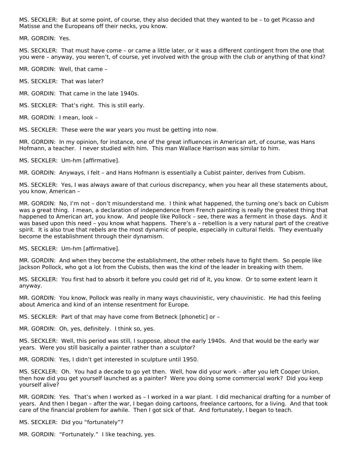MS. SECKLER: But at some point, of course, they also decided that they wanted to be – to get Picasso and Matisse and the Europeans off their necks, you know.

MR. GORDIN: Yes.

MS. SECKLER: That must have come – or came a little later, or it was a different contingent from the one that you were – anyway, you weren't, of course, yet involved with the group with the club or anything of that kind?

MR. GORDIN: Well, that came –

MS. SECKLER: That was later?

MR. GORDIN: That came in the late 1940s.

MS. SECKLER: That's right. This is still early.

MR. GORDIN: I mean, look –

MS. SECKLER: These were the war years you must be getting into now.

MR. GORDIN: In my opinion, for instance, one of the great influences in American art, of course, was Hans Hofmann, a teacher. I never studied with him. This man Wallace Harrison was similar to him.

MS. SECKLER: Um-hm [affirmative].

MR. GORDIN: Anyways, I felt – and Hans Hofmann is essentially a Cubist painter, derives from Cubism.

MS. SECKLER: Yes, I was always aware of that curious discrepancy, when you hear all these statements about, you know, American –

MR. GORDIN: No, I'm not – don't misunderstand me. I think what happened, the turning one's back on Cubism was a great thing. I mean, a declaration of independence from French painting is really the greatest thing that happened to American art, you know. And people like Pollock – see, there was a ferment in those days. And it was based upon this need – you know what happens. There's a – rebellion is a very natural part of the creative spirit. It is also true that rebels are the most dynamic of people, especially in cultural fields. They eventually become the establishment through their dynamism.

MS. SECKLER: Um-hm [affirmative].

MR. GORDIN: And when they become the establishment, the other rebels have to fight them. So people like Jackson Pollock, who got a lot from the Cubists, then was the kind of the leader in breaking with them.

MS. SECKLER: You first had to absorb it before you could get rid of it, you know. Or to some extent learn it anyway.

MR. GORDIN: You know, Pollock was really in many ways chauvinistic, very chauvinistic. He had this feeling about America and kind of an intense resentment for Europe.

MS. SECKLER: Part of that may have come from Betneck [phonetic] or –

MR. GORDIN: Oh, yes, definitely. I think so, yes.

MS. SECKLER: Well, this period was still, I suppose, about the early 1940s. And that would be the early war years. Were you still basically a painter rather than a sculptor?

MR. GORDIN: Yes, I didn't get interested in sculpture until 1950.

MS. SECKLER: Oh. You had a decade to go yet then. Well, how did your work – after you left Cooper Union, then how did you get yourself launched as a painter? Were you doing some commercial work? Did you keep yourself alive?

MR. GORDIN: Yes. That's when I worked as – I worked in a war plant. I did mechanical drafting for a number of years. And then I began – after the war, I began doing cartoons, freelance cartoons, for a living. And that took care of the financial problem for awhile. Then I got sick of that. And fortunately, I began to teach.

MS. SECKLER: Did you "fortunately"?

MR. GORDIN: "Fortunately." I like teaching, yes.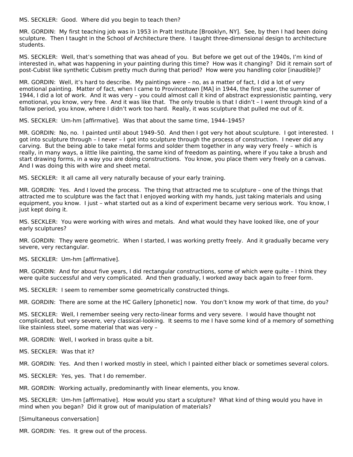MS. SECKLER: Good. Where did you begin to teach then?

MR. GORDIN: My first teaching job was in 1953 in Pratt Institute [Brooklyn, NY]. See, by then I had been doing sculpture. Then I taught in the School of Architecture there. I taught three-dimensional design to architecture students.

MS. SECKLER: Well, that's something that was ahead of you. But before we get out of the 1940s, I'm kind of interested in, what was happening in your painting during this time? How was it changing? Did it remain sort of post-Cubist like synthetic Cubism pretty much during that period? How were you handling color [inaudible]?

MR. GORDIN: Well, it's hard to describe. My paintings were – no, as a matter of fact, I did a lot of very emotional painting. Matter of fact, when I came to Provincetown [MA] in 1944, the first year, the summer of 1944, I did a lot of work. And it was very – you could almost call it kind of abstract expressionistic painting, very emotional, you know, very free. And it was like that. The only trouble is that I didn't – I went through kind of a fallow period, you know, where I didn't work too hard. Really, it was sculpture that pulled me out of it.

MS. SECKLER: Um-hm [affirmative]. Was that about the same time, 1944–1945?

MR. GORDIN: No, no. I painted until about 1949–50. And then I got very hot about sculpture. I got interested. I got into sculpture through – I never – I got into sculpture through the process of construction. I never did any carving. But the being able to take metal forms and solder them together in any way very freely – which is really, in many ways, a little like painting, the same kind of freedom as painting, where if you take a brush and start drawing forms, in a way you are doing constructions. You know, you place them very freely on a canvas. And I was doing this with wire and sheet metal.

MS. SECKLER: It all came all very naturally because of your early training.

MR. GORDIN: Yes. And I loved the process. The thing that attracted me to sculpture – one of the things that attracted me to sculpture was the fact that I enjoyed working with my hands, just taking materials and using equipment, you know. I just – what started out as a kind of experiment became very serious work. You know, I just kept doing it.

MS. SECKLER: You were working with wires and metals. And what would they have looked like, one of your early sculptures?

MR. GORDIN: They were geometric. When I started, I was working pretty freely. And it gradually became very severe, very rectangular.

MS. SECKLER: Um-hm [affirmative].

MR. GORDIN: And for about five years, I did rectangular constructions, some of which were quite – I think they were quite successful and very complicated. And then gradually, I worked away back again to freer form.

MS. SECKLER: I seem to remember some geometrically constructed things.

MR. GORDIN: There are some at the HC Gallery [phonetic] now. You don't know my work of that time, do you?

MS. SECKLER: Well, I remember seeing very recto-linear forms and very severe. I would have thought not complicated, but very severe, very classical-looking. It seems to me I have some kind of a memory of something like stainless steel, some material that was very –

MR. GORDIN: Well, I worked in brass quite a bit.

MS. SECKLER: Was that it?

MR. GORDIN: Yes. And then I worked mostly in steel, which I painted either black or sometimes several colors.

MS. SECKLER: Yes, yes. That I do remember.

MR. GORDIN: Working actually, predominantly with linear elements, you know.

MS. SECKLER: Um-hm [affirmative]. How would you start a sculpture? What kind of thing would you have in mind when you began? Did it grow out of manipulation of materials?

[Simultaneous conversation]

MR. GORDIN: Yes. It grew out of the process.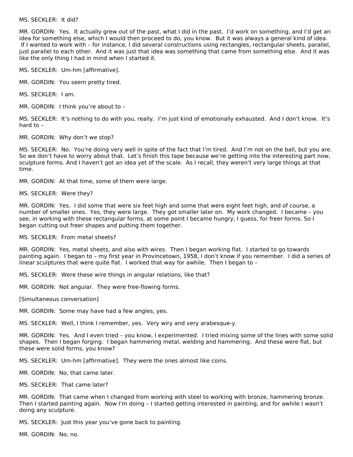#### MS. SECKLER: It did?

MR. GORDIN: Yes. It actually grew out of the past, what I did in the past. I'd work on something, and I'd get an idea for something else, which I would then proceed to do, you know. But it was always a general kind of idea. If I wanted to work with – for instance, I did several constructions using rectangles, rectangular sheets, parallel, just parallel to each other. And it was just that idea was something that came from something else. And it was like the only thing I had in mind when I started it.

MS. SECKLER: Um-hm [affirmative].

MR. GORDIN: You seem pretty tired.

MS. SECKLER: I am.

MR. GORDIN: I think you're about to –

MS. SECKLER: It's nothing to do with you, really. I'm just kind of emotionally exhausted. And I don't know. It's hard to –

MR. GORDIN: Why don't we stop?

MS. SECKLER: No. You're doing very well in spite of the fact that I'm tired. And I'm not on the ball, but you are. So we don't have to worry about that. Let's finish this tape because we're getting into the interesting part now, sculpture forms. And I haven't got an idea yet of the scale. As I recall, they weren't very large things at that time.

MR. GORDIN: At that time, some of them were large.

MS. SECKLER: Were they?

MR. GORDIN: Yes. I did some that were six feet high and some that were eight feet high, and of course, a number of smaller ones. Yes, they were large. They got smaller later on. My work changed. I became – you see, in working with these rectangular forms, at some point I became hungry, I guess, for freer forms. So I began cutting out freer shapes and putting them together.

MS. SECKLER: From metal sheets?

MR. GORDIN: Yes, metal sheets, and also with wires. Then I began working flat. I started to go towards painting again. I began to – my first year in Provincetown, 1958, I don't know if you remember. I did a series of linear sculptures that were quite flat. I worked that way for awhile. Then I began to –

MS. SECKLER: Were these wire things in angular relations, like that?

MR. GORDIN: Not angular. They were free-flowing forms.

[Simultaneous conversation]

MR. GORDIN: Some may have had a few angles, yes.

MS. SECKLER: Well, I think I remember, yes. Very wiry and very arabesque-y.

MR. GORDIN: Yes. And I even tried – you know, I experimented. I tried mixing some of the lines with some solid shapes. Then I began forging. I began hammering metal, welding and hammering. And these were flat, but these were solid forms, you know?

MS. SECKLER: Um-hm [affirmative]. They were the ones almost like coins.

MR. GORDIN: No, that came later.

MS. SECKLER: That came later?

MR. GORDIN: That came when I changed from working with steel to working with bronze, hammering bronze. Then I started painting again. Now I'm doing – I started getting interested in painting, and for awhile I wasn't doing any sculpture.

MS. SECKLER: Just this year you've gone back to painting.

MR. GORDIN: No, no.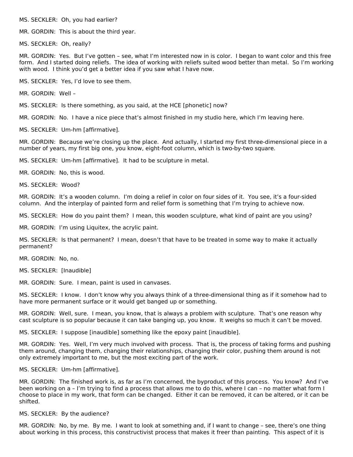MS. SECKLER: Oh, you had earlier?

MR. GORDIN: This is about the third year.

MS. SECKLER: Oh, really?

MR. GORDIN: Yes. But I've gotten – see, what I'm interested now in is color. I began to want color and this free form. And I started doing reliefs. The idea of working with reliefs suited wood better than metal. So I'm working with wood. I think you'd get a better idea if you saw what I have now.

MS. SECKLER: Yes, I'd love to see them.

MR. GORDIN: Well –

MS. SECKLER: Is there something, as you said, at the HCE [phonetic] now?

MR. GORDIN: No. I have a nice piece that's almost finished in my studio here, which I'm leaving here.

MS. SECKLER: Um-hm [affirmative].

MR. GORDIN: Because we're closing up the place. And actually, I started my first three-dimensional piece in a number of years, my first big one, you know, eight-foot column, which is two-by-two square.

MS. SECKLER: Um-hm [affirmative]. It had to be sculpture in metal.

MR. GORDIN: No, this is wood.

MS. SECKLER: Wood?

MR. GORDIN: It's a wooden column. I'm doing a relief in color on four sides of it. You see, it's a four-sided column. And the interplay of painted form and relief form is something that I'm trying to achieve now.

MS. SECKLER: How do you paint them? I mean, this wooden sculpture, what kind of paint are you using?

MR. GORDIN: I'm using Liquitex, the acrylic paint.

MS. SECKLER: Is that permanent? I mean, doesn't that have to be treated in some way to make it actually permanent?

MR. GORDIN: No, no.

MS. SECKLER: [Inaudible]

MR. GORDIN: Sure. I mean, paint is used in canvases.

MS. SECKLER: I know. I don't know why you always think of a three-dimensional thing as if it somehow had to have more permanent surface or it would get banged up or something.

MR. GORDIN: Well, sure. I mean, you know, that is always a problem with sculpture. That's one reason why cast sculpture is so popular because it can take banging up, you know. It weighs so much it can't be moved.

MS. SECKLER: I suppose [inaudible] something like the epoxy paint [inaudible].

MR. GORDIN: Yes. Well, I'm very much involved with process. That is, the process of taking forms and pushing them around, changing them, changing their relationships, changing their color, pushing them around is not only extremely important to me, but the most exciting part of the work.

MS. SECKLER: Um-hm [affirmative].

MR. GORDIN: The finished work is, as far as I'm concerned, the byproduct of this process. You know? And I've been working on a – I'm trying to find a process that allows me to do this, where I can – no matter what form I choose to place in my work, that form can be changed. Either it can be removed, it can be altered, or it can be shifted.

MS. SECKLER: By the audience?

MR. GORDIN: No, by me. By me. I want to look at something and, if I want to change – see, there's one thing about working in this process, this constructivist process that makes it freer than painting. This aspect of it is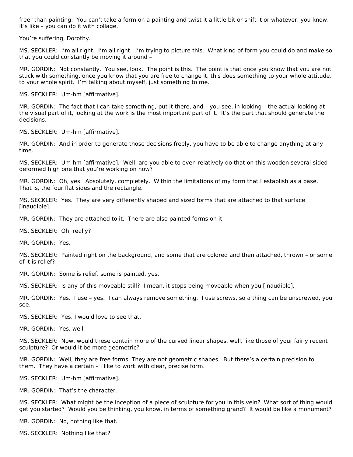freer than painting. You can't take a form on a painting and twist it a little bit or shift it or whatever, you know. It's like – you can do it with collage.

You're suffering, Dorothy.

MS. SECKLER: I'm all right. I'm all right. I'm trying to picture this. What kind of form you could do and make so that you could constantly be moving it around –

MR. GORDIN: Not constantly. You see, look. The point is this. The point is that once you know that you are not stuck with something, once you know that you are free to change it, this does something to your whole attitude, to your whole spirit. I'm talking about myself, just something to me.

MS. SECKLER: Um-hm [affirmative].

MR. GORDIN: The fact that I can take something, put it there, and – you see, in looking – the actual looking at – the visual part of it, looking at the work is the most important part of it. It's the part that should generate the decisions.

MS. SECKLER: Um-hm [affirmative].

MR. GORDIN: And in order to generate those decisions freely, you have to be able to change anything at any time.

MS. SECKLER: Um-hm [affirmative]. Well, are you able to even relatively do that on this wooden several-sided deformed high one that you're working on now?

MR. GORDIN: Oh, yes. Absolutely, completely. Within the limitations of my form that I establish as a base. That is, the four flat sides and the rectangle.

MS. SECKLER: Yes. They are very differently shaped and sized forms that are attached to that surface [inaudible].

MR. GORDIN: They are attached to it. There are also painted forms on it.

MS. SECKLER: Oh, really?

MR. GORDIN: Yes.

MS. SECKLER: Painted right on the background, and some that are colored and then attached, thrown – or some of it is relief?

MR. GORDIN: Some is relief, some is painted, yes.

MS. SECKLER: Is any of this moveable still? I mean, it stops being moveable when you [inaudible].

MR. GORDIN: Yes. I use – yes. I can always remove something. I use screws, so a thing can be unscrewed, you see.

MS. SECKLER: Yes, I would love to see that.

MR. GORDIN: Yes, well –

MS. SECKLER: Now, would these contain more of the curved linear shapes, well, like those of your fairly recent sculpture? Or would it be more geometric?

MR. GORDIN: Well, they are free forms. They are not geometric shapes. But there's a certain precision to them. They have a certain – I like to work with clear, precise form.

MS. SECKLER: Um-hm [affirmative].

MR. GORDIN: That's the character.

MS. SECKLER: What might be the inception of a piece of sculpture for you in this vein? What sort of thing would get you started? Would you be thinking, you know, in terms of something grand? It would be like a monument?

MR. GORDIN: No, nothing like that.

MS. SECKLER: Nothing like that?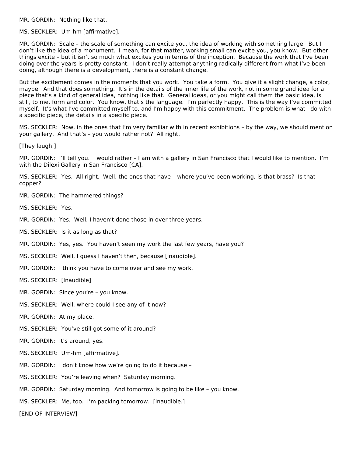MR. GORDIN: Nothing like that.

MS. SECKLER: Um-hm [affirmative].

MR. GORDIN: Scale – the scale of something can excite you, the idea of working with something large. But I don't like the idea of a monument. I mean, for that matter, working small can excite you, you know. But other things excite – but it isn't so much what excites you in terms of the inception. Because the work that I've been doing over the years is pretty constant. I don't really attempt anything radically different from what I've been doing, although there is a development, there is a constant change.

But the excitement comes in the moments that you work. You take a form. You give it a slight change, a color, maybe. And that does something. It's in the details of the inner life of the work, not in some grand idea for a piece that's a kind of general idea, nothing like that. General ideas, or you might call them the basic idea, is still, to me, form and color. You know, that's the language. I'm perfectly happy. This is the way I've committed myself. It's what I've committed myself to, and I'm happy with this commitment. The problem is what I do with a specific piece, the details in a specific piece.

MS. SECKLER: Now, in the ones that I'm very familiar with in recent exhibitions – by the way, we should mention your gallery. And that's – you would rather not? All right.

[They laugh.]

MR. GORDIN: I'll tell you. I would rather – I am with a gallery in San Francisco that I would like to mention. I'm with the Dilexi Gallery in San Francisco [CA].

MS. SECKLER: Yes. All right. Well, the ones that have – where you've been working, is that brass? Is that copper?

- MR. GORDIN: The hammered things?
- MS. SECKLER: Yes.
- MR. GORDIN: Yes. Well, I haven't done those in over three years.
- MS. SECKLER: Is it as long as that?
- MR. GORDIN: Yes, yes. You haven't seen my work the last few years, have you?
- MS. SECKLER: Well, I guess I haven't then, because [inaudible].
- MR. GORDIN: I think you have to come over and see my work.
- MS. SECKLER: [Inaudible]
- MR. GORDIN: Since you're you know.
- MS. SECKLER: Well, where could I see any of it now?
- MR. GORDIN: At my place.
- MS. SECKLER: You've still got some of it around?
- MR. GORDIN: It's around, yes.
- MS. SECKLER: Um-hm [affirmative].
- MR. GORDIN: I don't know how we're going to do it because –
- MS. SECKLER: You're leaving when? Saturday morning.
- MR. GORDIN: Saturday morning. And tomorrow is going to be like you know.
- MS. SECKLER: Me, too. I'm packing tomorrow. [Inaudible.]

[END OF INTERVIEW]